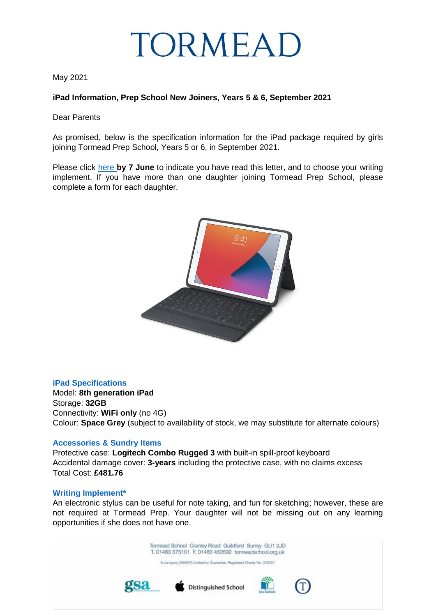

May 2021

## **iPad Information, Prep School New Joiners, Years 5 & 6, September 2021**

Dear Parents

As promised, below is the specification information for the iPad package required by girls joining Tormead Prep School, Years 5 or 6, in September 2021.

Please click [here](https://docs.google.com/forms/d/e/1FAIpQLSe_DPtAWXVchsUbRSz76YSttZAGLAfz5KFr80oCAy5SuTe84g/viewform?usp=sf_link) **by 7 June** to indicate you have read this letter, and to choose your writing implement. If you have more than one daughter joining Tormead Prep School, please complete a form for each daughter.



## **iPad Specifications**

Model: **8th generation iPad** Storage: **32GB** Connectivity: **WiFi only** (no 4G) Colour: **Space Grey** (subject to availability of stock, we may substitute for alternate colours)

## **Accessories & Sundry Items**

Protective case: **Logitech Combo Rugged 3** with built-in spill-proof keyboard Accidental damage cover: **3-years** including the protective case, with no claims excess Total Cost: **£481.76**

## **Writing Implement\***

An electronic stylus can be useful for note taking, and fun for sketching; however, these are not required at Tormead Prep. Your daughter will not be missing out on any learning opportunities if she does not have one.

> Tormead School Cranley Road Guildford Surrey GU1 2JD T. 01483 575101 F. 01483 450592 tormeadschool.org.uk

A company (485947) Limited by Guarantee, Registered Charity No. 312057